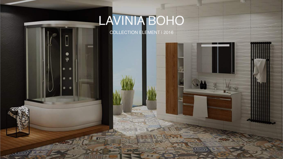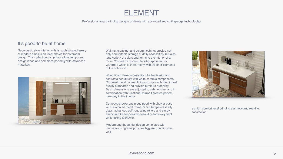

## ELEMENT

Professional award winning design combines with advanced and cutting-edge technologies





### It's good to be at home

Neo-classic style interior with its sophisticated luxury of modern times is an ideal choice for bathroom design. This collection comprises all contemporary design ideas and combines perfectly with advanced materials.



Wall-hung cabinet and column cabinet provide not only comfortable storage of daily necessities, but also lend variety of colors and forms to the interior of a room. You will be inspired by all-purpose mirror wardrobe which is in harmony with all other elements of the collection.

Wood finish harmoniously fits into the interior and contrasts beautifully with white ceramic components. Chromed metal cabinet fittings comply with the highest quality standards and provide furniture durability. Basin dimensions are adjusted to cabinet size, and in combination with functional mirror it creates perfect harmony in the interior.

Compact shower cabin equipped with shower base with reinforced metal frame, 8 mm tempered safety glass, advanced self-regulating rollers and sturdy aluminium frame provides reliability and enjoyment while taking a shower.

Modern and thoughtful design completed with innovative programs provides hygienic functions as well



as high comfort level bringing aesthetic and real-life satisfaction.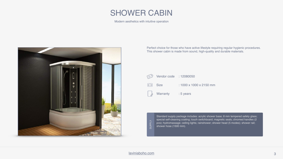

Modern aesthetics with intuitive operation



Perfect choice for those who have active lifestyle requiring regular hygienic procedures. This shower cabin is made from sound, high-quality and durable materials.

![](_page_2_Figure_5.jpeg)

**SUPPLY** SUPPLY

Standard supply package includes: acrylic shower base; 8 mm tempered safety glass; special self-cleaning coating; touch switchboard; magnetic seals; chromed handles (2 pcs); hydromassage; ceiling lights; rainshower; shower head (5 modes); shower rail; shower hose (1500 mm).

![](_page_2_Picture_8.jpeg)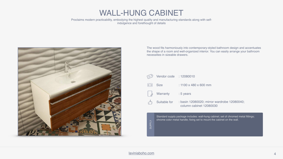![](_page_3_Picture_8.jpeg)

# WALL-HUNG CABINET

Proclaims modern practicability, embodying the highest quality and manufacturing standards along with selfindulgence and forethought of details

![](_page_3_Picture_2.jpeg)

The wood fits harmoniously into contemporary-styled bathroom design and accentuates the shape of a room and well-organized interior. You can easily arrange your bathroom necessities in sizeable drawers.

SUPPLYSUPPL

| Vendor code : 12080010                                                                                                                                         |                                                                        |
|----------------------------------------------------------------------------------------------------------------------------------------------------------------|------------------------------------------------------------------------|
| <b>Size</b>                                                                                                                                                    | $: 1100 \times 480 \times 600$ mm                                      |
| <b>Warranty</b>                                                                                                                                                | : 5 years                                                              |
| Suitable for                                                                                                                                                   | : basin 12080020; mirror wardrobe 12080040;<br>column cabinet 12080030 |
| Standard supply package includes: wall-hung cabinet; set of chromed metal fittings;<br>chrome color metal handle; fixing set to mount the cabinet on the wall. |                                                                        |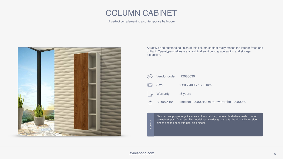### [laviniaboho.com](http://laviniaboho.com) 5

![](_page_4_Picture_9.jpeg)

# COLUMN CABINET

A perfect complement to a contemporary bathroom

![](_page_4_Picture_2.jpeg)

Attractive and outstanding finish of this column cabinet really makes the interior fresh and brilliant. Open-type shelves are an original solution to space saving and storage expansion.

**AJddNS** SUPPLY

| Sendor code : 12080030    |                                                                      |
|---------------------------|----------------------------------------------------------------------|
| $\leftrightarrow$ Size    | : 520 x 400 x 1600 mm                                                |
| <b>Marranty</b> : 5 years |                                                                      |
|                           | $\uparrow$ Suitable for : cabinet 12080010; mirror wardrobe 12080040 |

Standard supply package includes: column cabinet; removable shelves made of wood laminate (8 pcs); fixing set. This model has two design variants: the door with left side hinges and the door with right side hinges.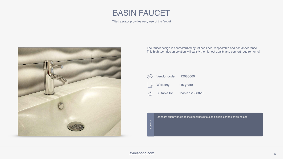### [laviniaboho.com](http://laviniaboho.com) 6

![](_page_5_Picture_12.jpeg)

![](_page_5_Picture_4.jpeg)

Tilted aerator provides easy use of the faucet

![](_page_5_Picture_2.jpeg)

The faucet design is characterized by refined lines, respectable and rich appearance. This high-tech design solution will satisfy the highest quality and comfort requirements!

![](_page_5_Picture_6.jpeg)

Vendor code : 12080060

- Warranty : 10 years
- Suitable for : basin 12080020

![](_page_5_Figure_10.jpeg)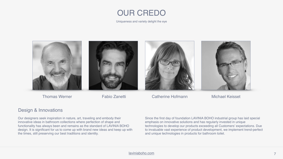![](_page_6_Picture_15.jpeg)

## OUR CREDO

![](_page_6_Picture_10.jpeg)

Thomas Werner **Fabio Zanetti** Catherine Hofmann Michael Keisset

Uniqueness and variety delight the eye

![](_page_6_Picture_9.jpeg)

![](_page_6_Picture_1.jpeg)

### Design & Innovations

Our designers seek inspiration in nature, art, traveling and embody their innovative ideas in bathroom collections where perfection of shape and functionality has always been and remains as the standard of LAVINIA BOHO design. It is significant for us to come up with brand new ideas and keep up with the times, still preserving our best traditions and identity.

![](_page_6_Picture_6.jpeg)

Since the first day of foundation LAVINIA BOHO industrial group has laid special emphasis on innovative solutions and has regularly invested in unique technologies to develop our products exceeding all Customers' expectations. Due to invaluable vast experience of product development, we implement trend-perfect and unique technologies in products for bathroom toilet.